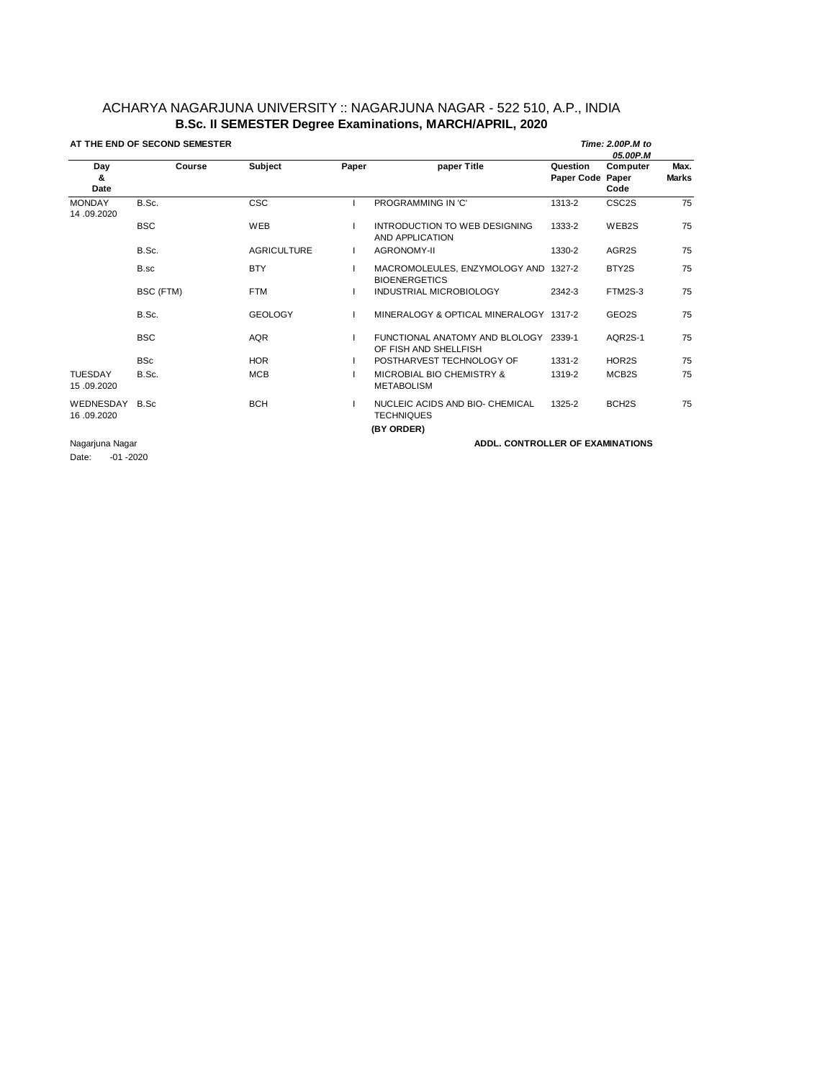## ACHARYA NAGARJUNA UNIVERSITY :: NAGARJUNA NAGAR - 522 510, A.P., INDIA **B.Sc. II SEMESTER Degree Examinations, MARCH/APRIL, 2020**

| AT THE END OF SECOND SEMESTER |            |                    |       |                                                                | Time: 2.00P.M to<br>05.00P.M |                    |                      |  |
|-------------------------------|------------|--------------------|-------|----------------------------------------------------------------|------------------------------|--------------------|----------------------|--|
| Day<br>&<br>Date              | Course     | Subject            | Paper | paper Title                                                    | Question<br>Paper Code Paper | Computer<br>Code   | Max.<br><b>Marks</b> |  |
| <b>MONDAY</b><br>14.09.2020   | B.Sc.      | <b>CSC</b>         |       | PROGRAMMING IN 'C'                                             | 1313-2                       | CSC <sub>2</sub> S | 75                   |  |
|                               | <b>BSC</b> | WEB                |       | INTRODUCTION TO WEB DESIGNING<br>AND APPLICATION               | 1333-2                       | WEB2S              | 75                   |  |
|                               | B.Sc.      | <b>AGRICULTURE</b> |       | <b>AGRONOMY-II</b>                                             | 1330-2                       | AGR2S              | 75                   |  |
|                               | B.sc       | <b>BTY</b>         |       | MACROMOLEULES, ENZYMOLOGY AND 1327-2<br><b>BIOENERGETICS</b>   |                              | BTY2S              | 75                   |  |
|                               | BSC (FTM)  | <b>FTM</b>         |       | <b>INDUSTRIAL MICROBIOLOGY</b>                                 | 2342-3                       | FTM2S-3            | 75                   |  |
|                               | B.Sc.      | <b>GEOLOGY</b>     |       | MINERALOGY & OPTICAL MINERALOGY 1317-2                         |                              | GEO2S              | 75                   |  |
|                               | <b>BSC</b> | <b>AQR</b>         |       | FUNCTIONAL ANATOMY AND BLOLOGY 2339-1<br>OF FISH AND SHELLFISH |                              | AQR2S-1            | 75                   |  |
|                               | <b>BSc</b> | <b>HOR</b>         |       | POSTHARVEST TECHNOLOGY OF                                      | 1331-2                       | HOR2S              | 75                   |  |
| <b>TUESDAY</b><br>15.09.2020  | B.Sc.      | <b>MCB</b>         |       | MICROBIAL BIO CHEMISTRY &<br><b>METABOLISM</b>                 | 1319-2                       | MCB2S              | 75                   |  |
| WEDNESDAY<br>16.09.2020       | B.Sc       | <b>BCH</b>         |       | NUCLEIC ACIDS AND BIO- CHEMICAL<br><b>TECHNIQUES</b>           | 1325-2                       | BCH <sub>2</sub> S | 75                   |  |
|                               |            |                    |       | (BY ORDER)                                                     |                              |                    |                      |  |
| Nagarjuna Nagar               |            |                    |       | <b>ADDL. CONTROLLER OF EXAMINATIONS</b>                        |                              |                    |                      |  |

Date: -01 -2020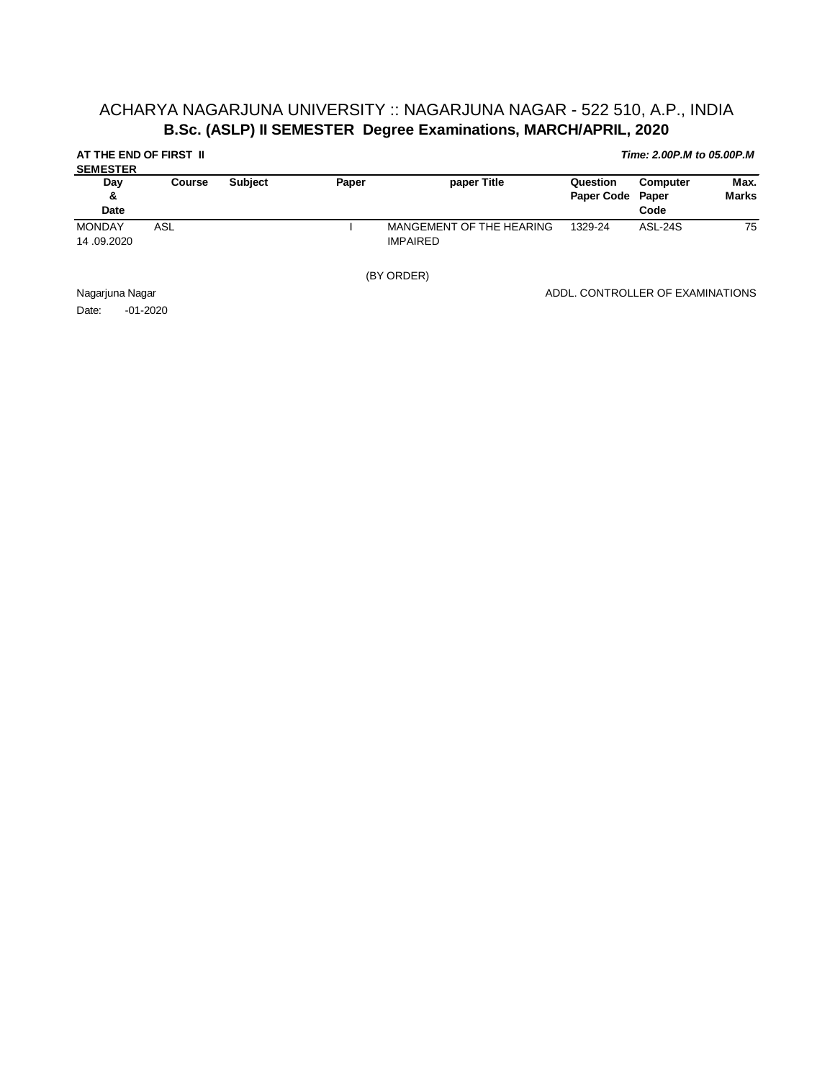## ACHARYA NAGARJUNA UNIVERSITY :: NAGARJUNA NAGAR - 522 510, A.P., INDIA **B.Sc. (ASLP) II SEMESTER Degree Examinations, MARCH/APRIL, 2020**

| AT THE END OF FIRST II<br><b>SEMESTER</b>                           |        |                |       |                                             |                                  | Time: 2.00P.M to 05.00P.M |                      |
|---------------------------------------------------------------------|--------|----------------|-------|---------------------------------------------|----------------------------------|---------------------------|----------------------|
| Day<br>&<br>Date                                                    | Course | <b>Subject</b> | Paper | paper Title                                 | Question<br><b>Paper Code</b>    | Computer<br>Paper<br>Code | Max.<br><b>Marks</b> |
| <b>MONDAY</b><br>14,09.2020                                         | ASL    |                |       | MANGEMENT OF THE HEARING<br><b>IMPAIRED</b> | 1329-24                          | ASL-24S                   | 75                   |
|                                                                     |        |                |       | (BY ORDER)                                  |                                  |                           |                      |
| Nagarjuna Nagar<br>$\sim$ $\sim$ $\sim$ $\sim$ $\sim$ $\sim$ $\sim$ |        |                |       |                                             | ADDL. CONTROLLER OF EXAMINATIONS |                           |                      |

Date: -01-2020